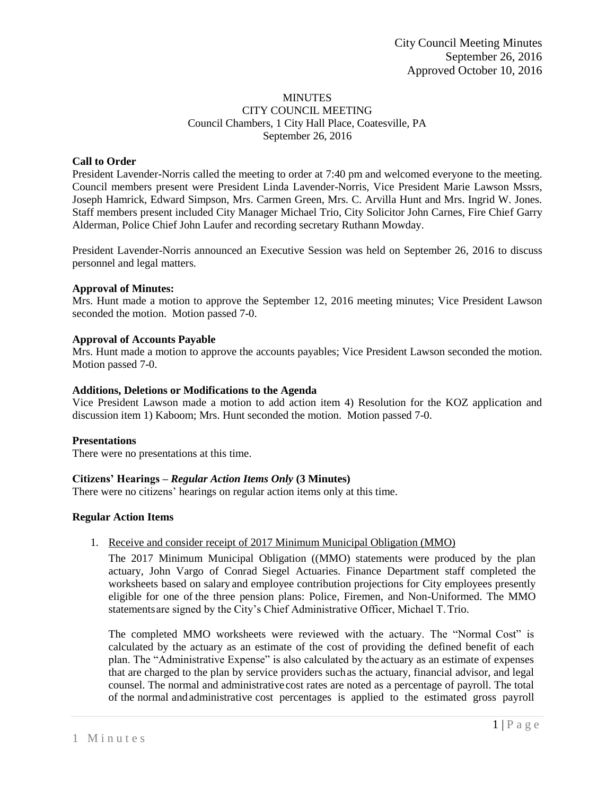### **MINUTES** CITY COUNCIL MEETING Council Chambers, 1 City Hall Place, Coatesville, PA September 26, 2016

## **Call to Order**

President Lavender-Norris called the meeting to order at 7:40 pm and welcomed everyone to the meeting. Council members present were President Linda Lavender-Norris, Vice President Marie Lawson Mssrs, Joseph Hamrick, Edward Simpson, Mrs. Carmen Green, Mrs. C. Arvilla Hunt and Mrs. Ingrid W. Jones. Staff members present included City Manager Michael Trio, City Solicitor John Carnes, Fire Chief Garry Alderman, Police Chief John Laufer and recording secretary Ruthann Mowday.

President Lavender-Norris announced an Executive Session was held on September 26, 2016 to discuss personnel and legal matters.

## **Approval of Minutes:**

Mrs. Hunt made a motion to approve the September 12, 2016 meeting minutes; Vice President Lawson seconded the motion. Motion passed 7-0.

## **Approval of Accounts Payable**

Mrs. Hunt made a motion to approve the accounts payables; Vice President Lawson seconded the motion. Motion passed 7-0.

## **Additions, Deletions or Modifications to the Agenda**

Vice President Lawson made a motion to add action item 4) Resolution for the KOZ application and discussion item 1) Kaboom; Mrs. Hunt seconded the motion. Motion passed 7-0.

## **Presentations**

There were no presentations at this time.

## **Citizens' Hearings –** *Regular Action Items Only* **(3 Minutes)**

There were no citizens' hearings on regular action items only at this time.

## **Regular Action Items**

### 1. Receive and consider receipt of 2017 Minimum Municipal Obligation (MMO)

The 2017 Minimum Municipal Obligation ((MMO) statements were produced by the plan actuary, John Vargo of Conrad Siegel Actuaries. Finance Department staff completed the worksheets based on salary and employee contribution projections for City employees presently eligible for one of the three pension plans: Police, Firemen, and Non-Uniformed. The MMO statementsare signed by the City's Chief Administrative Officer, Michael T.Trio.

The completed MMO worksheets were reviewed with the actuary. The "Normal Cost" is calculated by the actuary as an estimate of the cost of providing the defined benefit of each plan. The "Administrative Expense" is also calculated by the actuary as an estimate of expenses that are charged to the plan by service providers suchas the actuary, financial advisor, and legal counsel. The normal and administrative cost rates are noted as a percentage of payroll. The total of the normal andadministrative cost percentages is applied to the estimated gross payroll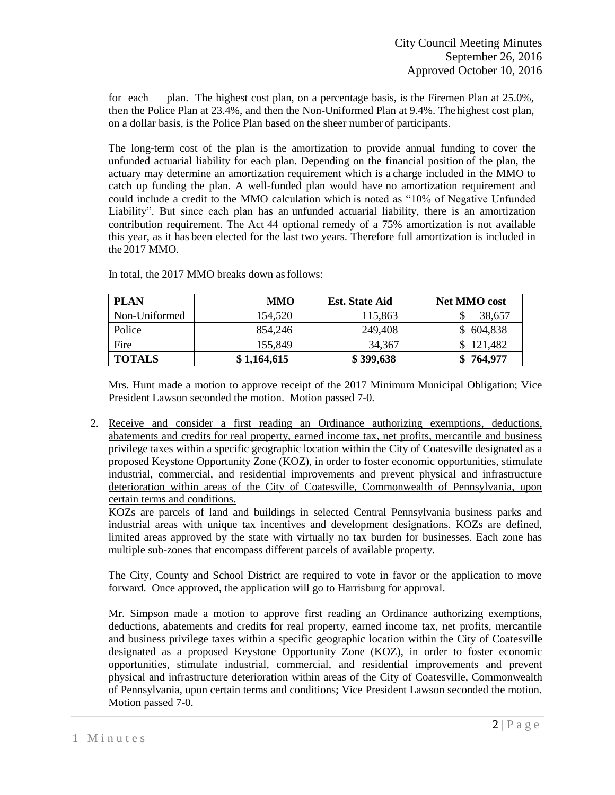for each plan. The highest cost plan, on a percentage basis, is the Firemen Plan at 25.0%, then the Police Plan at 23.4%, and then the Non-Uniformed Plan at 9.4%. The highest cost plan, on a dollar basis, is the Police Plan based on the sheer number of participants.

The long-term cost of the plan is the amortization to provide annual funding to cover the unfunded actuarial liability for each plan. Depending on the financial position of the plan, the actuary may determine an amortization requirement which is a charge included in the MMO to catch up funding the plan. A well-funded plan would have no amortization requirement and could include a credit to the MMO calculation which is noted as "10% of Negative Unfunded Liability". But since each plan has an unfunded actuarial liability, there is an amortization contribution requirement. The Act 44 optional remedy of a 75% amortization is not available this year, as it has been elected for the last two years. Therefore full amortization is included in the 2017 MMO.

| <b>PLAN</b>   | <b>MMO</b>  | <b>Est.</b> State Aid | <b>Net MMO</b> cost |
|---------------|-------------|-----------------------|---------------------|
| Non-Uniformed | 154.520     | 115,863               | 38,657              |
| Police        | 854.246     | 249,408               | \$604,838           |
| Fire          | 155,849     | 34,367                | \$121,482           |
| <b>TOTALS</b> | \$1,164,615 | \$399,638             | \$764,977           |

In total, the 2017 MMO breaks down asfollows:

Mrs. Hunt made a motion to approve receipt of the 2017 Minimum Municipal Obligation; Vice President Lawson seconded the motion. Motion passed 7-0.

2. Receive and consider a first reading an Ordinance authorizing exemptions, deductions, abatements and credits for real property, earned income tax, net profits, mercantile and business privilege taxes within a specific geographic location within the City of Coatesville designated as a proposed Keystone Opportunity Zone (KOZ), in order to foster economic opportunities, stimulate industrial, commercial, and residential improvements and prevent physical and infrastructure deterioration within areas of the City of Coatesville, Commonwealth of Pennsylvania, upon certain terms and conditions.

KOZs are parcels of land and buildings in selected Central Pennsylvania business parks and industrial areas with unique tax incentives and development designations. KOZs are defined, limited areas approved by the state with virtually no tax burden for businesses. Each zone has multiple sub-zones that encompass different parcels of available property.

The City, County and School District are required to vote in favor or the application to move forward. Once approved, the application will go to Harrisburg for approval.

Mr. Simpson made a motion to approve first reading an Ordinance authorizing exemptions, deductions, abatements and credits for real property, earned income tax, net profits, mercantile and business privilege taxes within a specific geographic location within the City of Coatesville designated as a proposed Keystone Opportunity Zone (KOZ), in order to foster economic opportunities, stimulate industrial, commercial, and residential improvements and prevent physical and infrastructure deterioration within areas of the City of Coatesville, Commonwealth of Pennsylvania, upon certain terms and conditions; Vice President Lawson seconded the motion. Motion passed 7-0.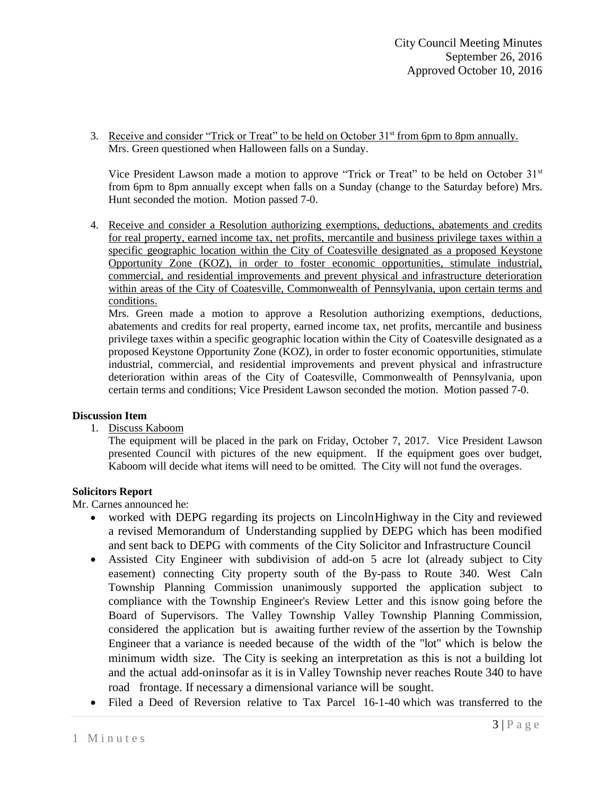3. Receive and consider "Trick or Treat" to be held on October  $31<sup>st</sup>$  from 6pm to 8pm annually. Mrs. Green questioned when Halloween falls on a Sunday.

Vice President Lawson made a motion to approve "Trick or Treat" to be held on October  $31<sup>st</sup>$ from 6pm to 8pm annually except when falls on a Sunday (change to the Saturday before) Mrs. Hunt seconded the motion. Motion passed 7-0.

4. Receive and consider a Resolution authorizing exemptions, deductions, abatements and credits for real property, earned income tax, net profits, mercantile and business privilege taxes within a specific geographic location within the City of Coatesville designated as a proposed Keystone Opportunity Zone (KOZ), in order to foster economic opportunities, stimulate industrial, commercial, and residential improvements and prevent physical and infrastructure deterioration within areas of the City of Coatesville, Commonwealth of Pennsylvania, upon certain terms and conditions.

Mrs. Green made a motion to approve a Resolution authorizing exemptions, deductions, abatements and credits for real property, earned income tax, net profits, mercantile and business privilege taxes within a specific geographic location within the City of Coatesville designated as a proposed Keystone Opportunity Zone (KOZ), in order to foster economic opportunities, stimulate industrial, commercial, and residential improvements and prevent physical and infrastructure deterioration within areas of the City of Coatesville, Commonwealth of Pennsylvania, upon certain terms and conditions; Vice President Lawson seconded the motion. Motion passed 7-0.

## **Discussion Item**

1. Discuss Kaboom

The equipment will be placed in the park on Friday, October 7, 2017. Vice President Lawson presented Council with pictures of the new equipment. If the equipment goes over budget, Kaboom will decide what items will need to be omitted. The City will not fund the overages.

# **Solicitors Report**

Mr. Carnes announced he:

- worked with DEPG regarding its projects on LincolnHighway in the City and reviewed a revised Memorandum of Understanding supplied by DEPG which has been modified and sent back to DEPG with comments of the City Solicitor and Infrastructure Council
- Assisted City Engineer with subdivision of add-on 5 acre lot (already subject to City easement) connecting City property south of the By-pass to Route 340. West Caln Township Planning Commission unanimously supported the application subject to compliance with the Township Engineer's Review Letter and this isnow going before the Board of Supervisors. The Valley Township Valley Township Planning Commission, considered the application but is awaiting further review of the assertion by the Township Engineer that a variance is needed because of the width of the "lot" which is below the minimum width size. The City is seeking an interpretation as this is not a building lot and the actual add-oninsofar as it is in Valley Township never reaches Route 340 to have road frontage. If necessary a dimensional variance will be sought.
- Filed a Deed of Reversion relative to Tax Parcel 16-1-40 which was transferred to the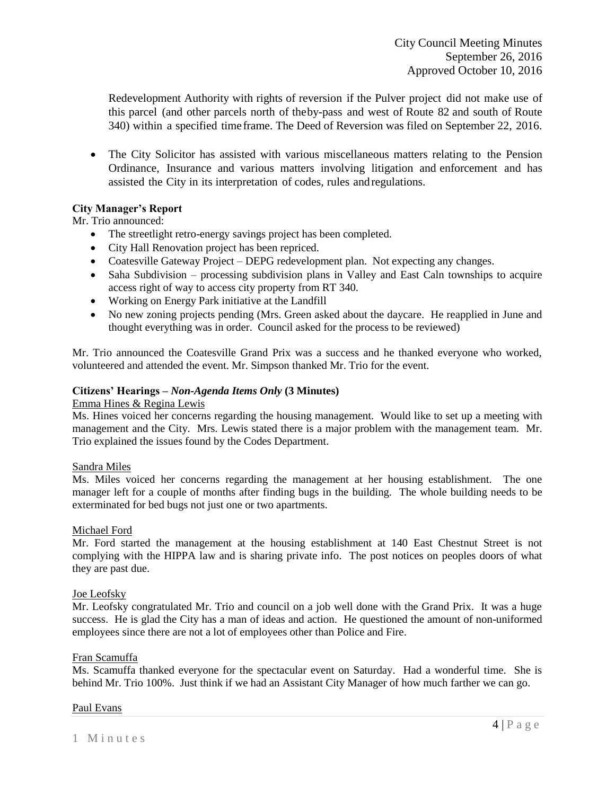Redevelopment Authority with rights of reversion if the Pulver project did not make use of this parcel (and other parcels north of theby-pass and west of Route 82 and south of Route 340) within a specified timeframe. The Deed of Reversion was filed on September 22, 2016.

 The City Solicitor has assisted with various miscellaneous matters relating to the Pension Ordinance, Insurance and various matters involving litigation and enforcement and has assisted the City in its interpretation of codes, rules andregulations.

## **City Manager's Report**

Mr. Trio announced:

- The streetlight retro-energy savings project has been completed.
- City Hall Renovation project has been repriced.
- Coatesville Gateway Project DEPG redevelopment plan. Not expecting any changes.
- Saha Subdivision processing subdivision plans in Valley and East Caln townships to acquire access right of way to access city property from RT 340.
- Working on Energy Park initiative at the Landfill
- No new zoning projects pending (Mrs. Green asked about the daycare. He reapplied in June and thought everything was in order. Council asked for the process to be reviewed)

Mr. Trio announced the Coatesville Grand Prix was a success and he thanked everyone who worked, volunteered and attended the event. Mr. Simpson thanked Mr. Trio for the event.

### **Citizens' Hearings –** *Non-Agenda Items Only* **(3 Minutes)**

### Emma Hines & Regina Lewis

Ms. Hines voiced her concerns regarding the housing management. Would like to set up a meeting with management and the City. Mrs. Lewis stated there is a major problem with the management team. Mr. Trio explained the issues found by the Codes Department.

## Sandra Miles

Ms. Miles voiced her concerns regarding the management at her housing establishment. The one manager left for a couple of months after finding bugs in the building. The whole building needs to be exterminated for bed bugs not just one or two apartments.

## Michael Ford

Mr. Ford started the management at the housing establishment at 140 East Chestnut Street is not complying with the HIPPA law and is sharing private info. The post notices on peoples doors of what they are past due.

## Joe Leofsky

Mr. Leofsky congratulated Mr. Trio and council on a job well done with the Grand Prix. It was a huge success. He is glad the City has a man of ideas and action. He questioned the amount of non-uniformed employees since there are not a lot of employees other than Police and Fire.

#### Fran Scamuffa

Ms. Scamuffa thanked everyone for the spectacular event on Saturday. Had a wonderful time. She is behind Mr. Trio 100%. Just think if we had an Assistant City Manager of how much farther we can go.

#### Paul Evans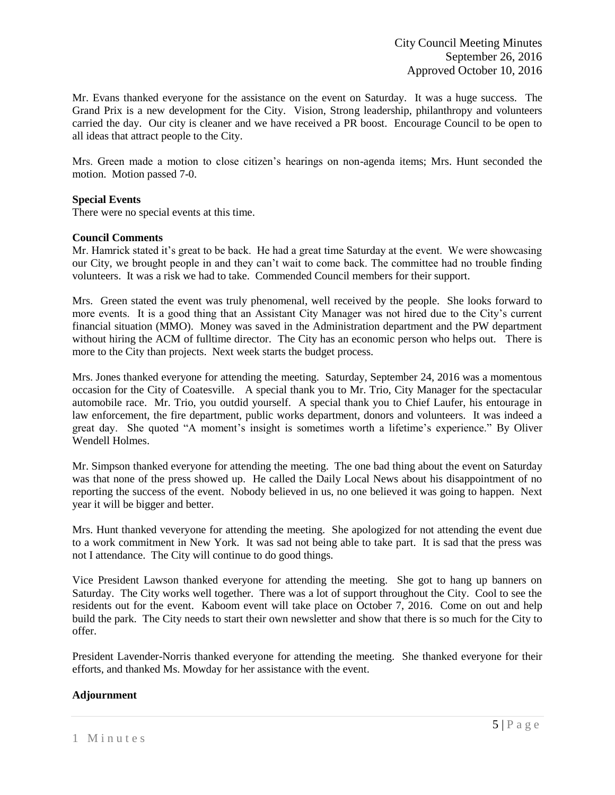Mr. Evans thanked everyone for the assistance on the event on Saturday. It was a huge success. The Grand Prix is a new development for the City. Vision, Strong leadership, philanthropy and volunteers carried the day. Our city is cleaner and we have received a PR boost. Encourage Council to be open to all ideas that attract people to the City.

Mrs. Green made a motion to close citizen's hearings on non-agenda items; Mrs. Hunt seconded the motion. Motion passed 7-0.

## **Special Events**

There were no special events at this time.

## **Council Comments**

Mr. Hamrick stated it's great to be back. He had a great time Saturday at the event. We were showcasing our City, we brought people in and they can't wait to come back. The committee had no trouble finding volunteers. It was a risk we had to take. Commended Council members for their support.

Mrs. Green stated the event was truly phenomenal, well received by the people. She looks forward to more events. It is a good thing that an Assistant City Manager was not hired due to the City's current financial situation (MMO). Money was saved in the Administration department and the PW department without hiring the ACM of fulltime director. The City has an economic person who helps out. There is more to the City than projects. Next week starts the budget process.

Mrs. Jones thanked everyone for attending the meeting. Saturday, September 24, 2016 was a momentous occasion for the City of Coatesville. A special thank you to Mr. Trio, City Manager for the spectacular automobile race. Mr. Trio, you outdid yourself. A special thank you to Chief Laufer, his entourage in law enforcement, the fire department, public works department, donors and volunteers. It was indeed a great day. She quoted "A moment's insight is sometimes worth a lifetime's experience." By Oliver Wendell Holmes.

Mr. Simpson thanked everyone for attending the meeting. The one bad thing about the event on Saturday was that none of the press showed up. He called the Daily Local News about his disappointment of no reporting the success of the event. Nobody believed in us, no one believed it was going to happen. Next year it will be bigger and better.

Mrs. Hunt thanked veveryone for attending the meeting. She apologized for not attending the event due to a work commitment in New York. It was sad not being able to take part. It is sad that the press was not I attendance. The City will continue to do good things.

Vice President Lawson thanked everyone for attending the meeting. She got to hang up banners on Saturday. The City works well together. There was a lot of support throughout the City. Cool to see the residents out for the event. Kaboom event will take place on October 7, 2016. Come on out and help build the park. The City needs to start their own newsletter and show that there is so much for the City to offer.

President Lavender-Norris thanked everyone for attending the meeting. She thanked everyone for their efforts, and thanked Ms. Mowday for her assistance with the event.

# **Adjournment**